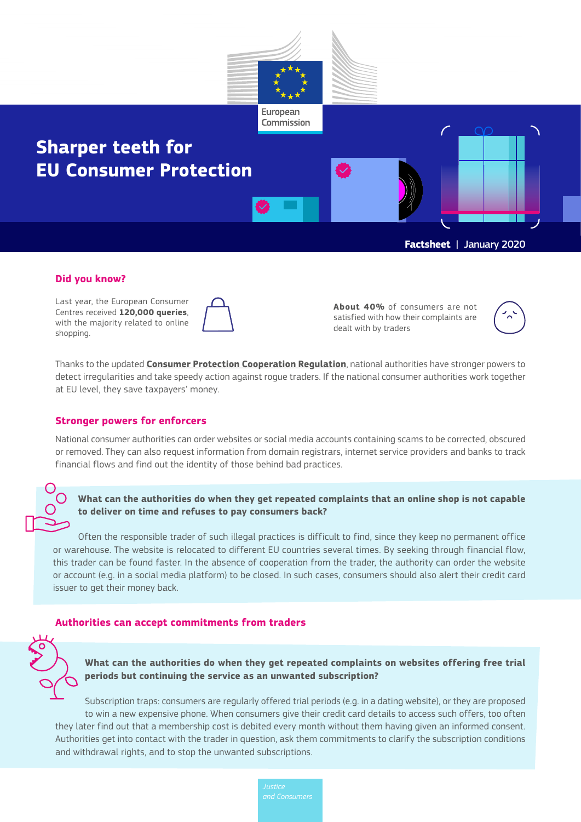

#### **Did you know?**

Last year, the European Consumer Centres received **120,000 queries**, with the majority related to online shopping.

**About 40%** of consumers are not satisfied with how their complaints are dealt with by traders



Thanks to the updated **[Consumer Protection Cooperation Regulation](https://ec.europa.eu/info/law/law-topic/consumers/consumer-protection-cooperation-regulation_en )**, national authorities have stronger powers to detect irregularities and take speedy action against rogue traders. If the national consumer authorities work together at EU level, they save taxpayers' money.

## **Stronger powers for enforcers**

National consumer authorities can order websites or social media accounts containing scams to be corrected, obscured or removed. They can also request information from domain registrars, internet service providers and banks to track financial flows and find out the identity of those behind bad practices.

**What can the authorities do when they get repeated complaints that an online shop is not capable to deliver on time and refuses to pay consumers back?** 

Often the responsible trader of such illegal practices is difficult to find, since they keep no permanent office or warehouse. The website is relocated to different EU countries several times. By seeking through financial flow, this trader can be found faster. In the absence of cooperation from the trader, the authority can order the website or account (e.g. in a social media platform) to be closed. In such cases, consumers should also alert their credit card issuer to get their money back.

## **Authorities can accept commitments from traders**



Subscription traps: consumers are regularly offered trial periods (e.g. in a dating website), or they are proposed to win a new expensive phone. When consumers give their credit card details to access such offers, too often they later find out that a membership cost is debited every month without them having given an informed consent. Authorities get into contact with the trader in question, ask them commitments to clarify the subscription conditions and withdrawal rights, and to stop the unwanted subscriptions.